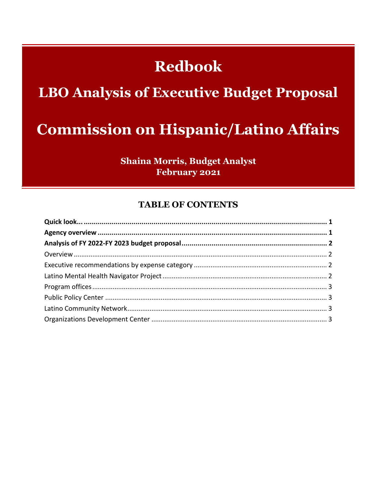## **Redbook**

## **LBO Analysis of Executive Budget Proposal**

## **Commission on Hispanic/Latino Affairs**

**Shaina Morris, Budget Analyst February 2021** 

### **TABLE OF CONTENTS**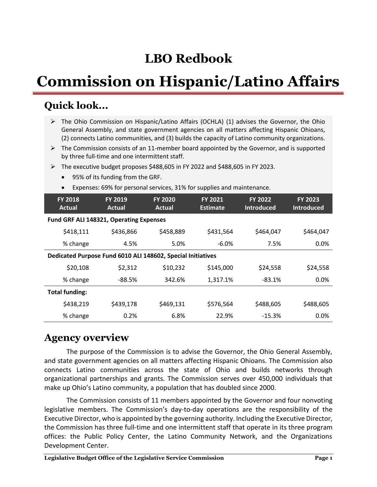## **LBO Redbook**

# **Commission on Hispanic/Latino Affairs**

### **Quick look...**

- The Ohio Commission on Hispanic/Latino Affairs (OCHLA) (1) advises the Governor, the Ohio General Assembly, and state government agencies on all matters affecting Hispanic Ohioans, (2) connects Latino communities, and (3) builds the capacity of Latino community organizations.
- $\triangleright$  The Commission consists of an 11-member board appointed by the Governor, and is supported by three full-time and one intermittent staff.
- The executive budget proposes \$488,605 in FY 2022 and \$488,605 in FY 2023.
	- 95% of its funding from the GRF.
	- Expenses: 69% for personal services, 31% for supplies and maintenance.

| <b>FY 2018</b><br><b>Actual</b>                             | <b>FY 2019</b><br>Actual | <b>FY 2020</b><br>Actual | <b>FY 2021</b><br><b>Estimate</b> | <b>FY 2022</b><br><b>Introduced</b> | <b>FY 2023</b><br><b>Introduced</b> |  |  |
|-------------------------------------------------------------|--------------------------|--------------------------|-----------------------------------|-------------------------------------|-------------------------------------|--|--|
| Fund GRF ALI 148321, Operating Expenses                     |                          |                          |                                   |                                     |                                     |  |  |
| \$418,111                                                   | \$436,866                | \$458,889                | \$431,564                         | \$464,047                           | \$464,047                           |  |  |
| % change                                                    | 4.5%                     | 5.0%                     | $-6.0\%$                          | 7.5%                                | $0.0\%$                             |  |  |
| Dedicated Purpose Fund 6010 ALI 148602, Special Initiatives |                          |                          |                                   |                                     |                                     |  |  |
| \$20,108                                                    | \$2,312                  | \$10,232                 | \$145,000                         | \$24,558                            | \$24,558                            |  |  |
| % change                                                    | -88.5%                   | 342.6%                   | 1,317.1%                          | $-83.1%$                            | 0.0%                                |  |  |
| <b>Total funding:</b>                                       |                          |                          |                                   |                                     |                                     |  |  |
| \$438,219                                                   | \$439,178                | \$469,131                | \$576,564                         | \$488,605                           | \$488,605                           |  |  |
| % change                                                    | 0.2%                     | 6.8%                     | 22.9%                             | $-15.3%$                            | 0.0%                                |  |  |

### **Agency overview**

The purpose of the Commission is to advise the Governor, the Ohio General Assembly, and state government agencies on all matters affecting Hispanic Ohioans. The Commission also connects Latino communities across the state of Ohio and builds networks through organizational partnerships and grants. The Commission serves over 450,000 individuals that make up Ohio's Latino community, a population that has doubled since 2000.

The Commission consists of 11 members appointed by the Governor and four nonvoting legislative members. The Commission's day-to-day operations are the responsibility of the Executive Director, who is appointed by the governing authority. Including the Executive Director, the Commission has three full-time and one intermittent staff that operate in its three program offices: the Public Policy Center, the Latino Community Network, and the Organizations Development Center.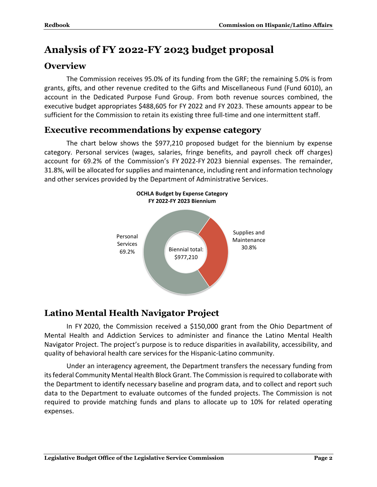### **Analysis of FY 2022-FY 2023 budget proposal**

### **Overview**

The Commission receives 95.0% of its funding from the GRF; the remaining 5.0% is from grants, gifts, and other revenue credited to the Gifts and Miscellaneous Fund (Fund 6010), an account in the Dedicated Purpose Fund Group. From both revenue sources combined, the executive budget appropriates \$488,605 for FY 2022 and FY 2023. These amounts appear to be sufficient for the Commission to retain its existing three full-time and one intermittent staff.

### **Executive recommendations by expense category**

The chart below shows the \$977,210 proposed budget for the biennium by expense category. Personal services (wages, salaries, fringe benefits, and payroll check off charges) account for 69.2% of the Commission's FY 2022-FY 2023 biennial expenses. The remainder, 31.8%, will be allocated for supplies and maintenance, including rent and information technology and other services provided by the Department of Administrative Services.



### **Latino Mental Health Navigator Project**

In FY 2020, the Commission received a \$150,000 grant from the Ohio Department of Mental Health and Addiction Services to administer and finance the Latino Mental Health Navigator Project. The project's purpose is to reduce disparities in availability, accessibility, and quality of behavioral health care services for the Hispanic-Latino community.

Under an interagency agreement, the Department transfers the necessary funding from its federal Community Mental Health Block Grant. The Commission is required to collaborate with the Department to identify necessary baseline and program data, and to collect and report such data to the Department to evaluate outcomes of the funded projects. The Commission is not required to provide matching funds and plans to allocate up to 10% for related operating expenses.